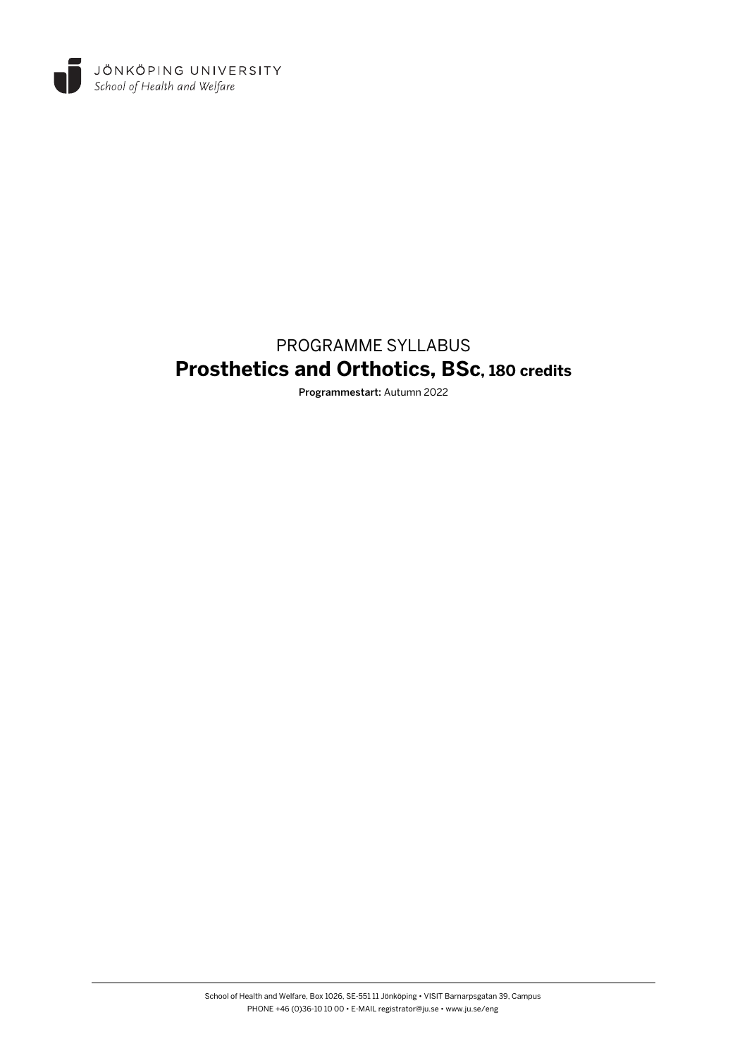

# PROGRAMME SYLLABUS **Prosthetics and Orthotics, BSc, 180 credits**

Programmestart: Autumn 2022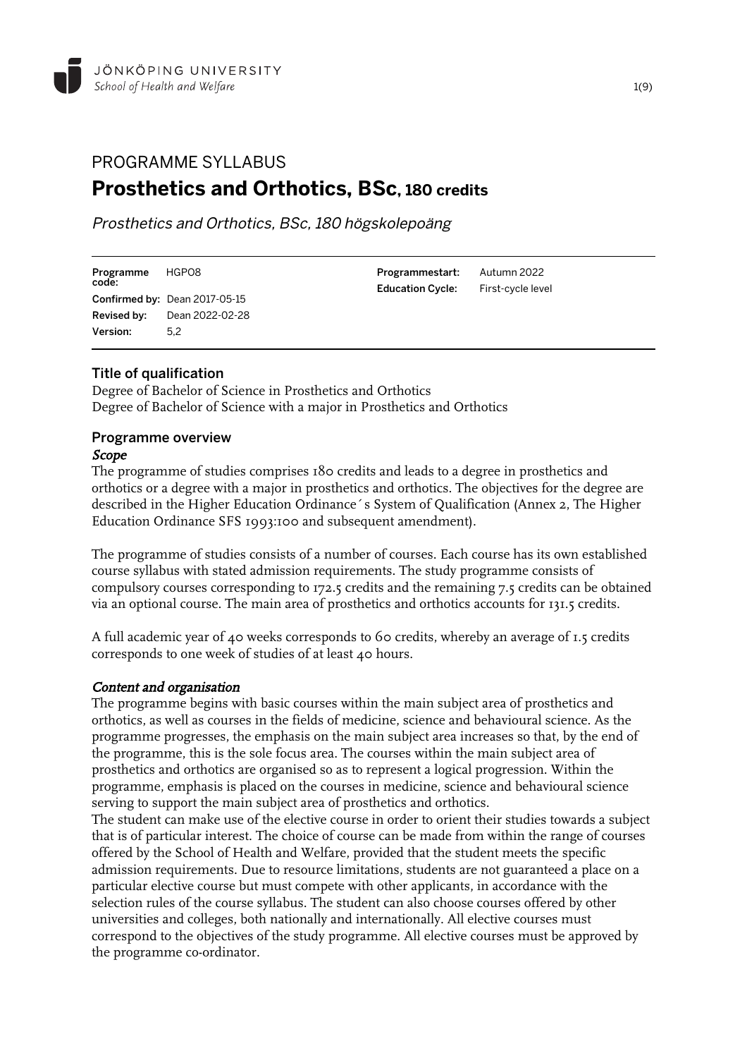# PROGRAMME SYLLABUS **Prosthetics and Orthotics, BSc, 180 credits**

Prosthetics and Orthotics, BSc, 180 högskolepoäng

| Programme<br>code: | HGPO8                         |
|--------------------|-------------------------------|
|                    | Confirmed by: Dean 2017-05-15 |
| Revised by:        | Dean 2022-02-28               |
| Version:           | 5.2                           |
|                    |                               |

Programmestart: Autumn 2022 Education Cycle: First-cycle level

## Title of qualification

Degree of Bachelor of Science in Prosthetics and Orthotics Degree of Bachelor of Science with a major in Prosthetics and Orthotics

#### Programme overview Scope

The programme of studies comprises 180 credits and leads to a degree in prosthetics and orthotics or a degree with a major in prosthetics and orthotics. The objectives for the degree are described in the Higher Education Ordinance´s System of Qualification (Annex 2, The Higher Education Ordinance SFS 1993:100 and subsequent amendment).

The programme of studies consists of a number of courses. Each course has its own established course syllabus with stated admission requirements. The study programme consists of compulsory courses corresponding to 172.5 credits and the remaining 7.5 credits can be obtained via an optional course. The main area of prosthetics and orthotics accounts for 131.5 credits.

A full academic year of 40 weeks corresponds to 60 credits, whereby an average of 1.5 credits corresponds to one week of studies of at least 40 hours.

#### Content and organisation

The programme begins with basic courses within the main subject area of prosthetics and orthotics, as well as courses in the fields of medicine, science and behavioural science. As the programme progresses, the emphasis on the main subject area increases so that, by the end of the programme, this is the sole focus area. The courses within the main subject area of prosthetics and orthotics are organised so as to represent a logical progression. Within the programme, emphasis is placed on the courses in medicine, science and behavioural science serving to support the main subject area of prosthetics and orthotics.

The student can make use of the elective course in order to orient their studies towards a subject that is of particular interest. The choice of course can be made from within the range of courses offered by the School of Health and Welfare, provided that the student meets the specific admission requirements. Due to resource limitations, students are not guaranteed a place on a particular elective course but must compete with other applicants, in accordance with the selection rules of the course syllabus. The student can also choose courses offered by other universities and colleges, both nationally and internationally. All elective courses must correspond to the objectives of the study programme. All elective courses must be approved by the programme co-ordinator.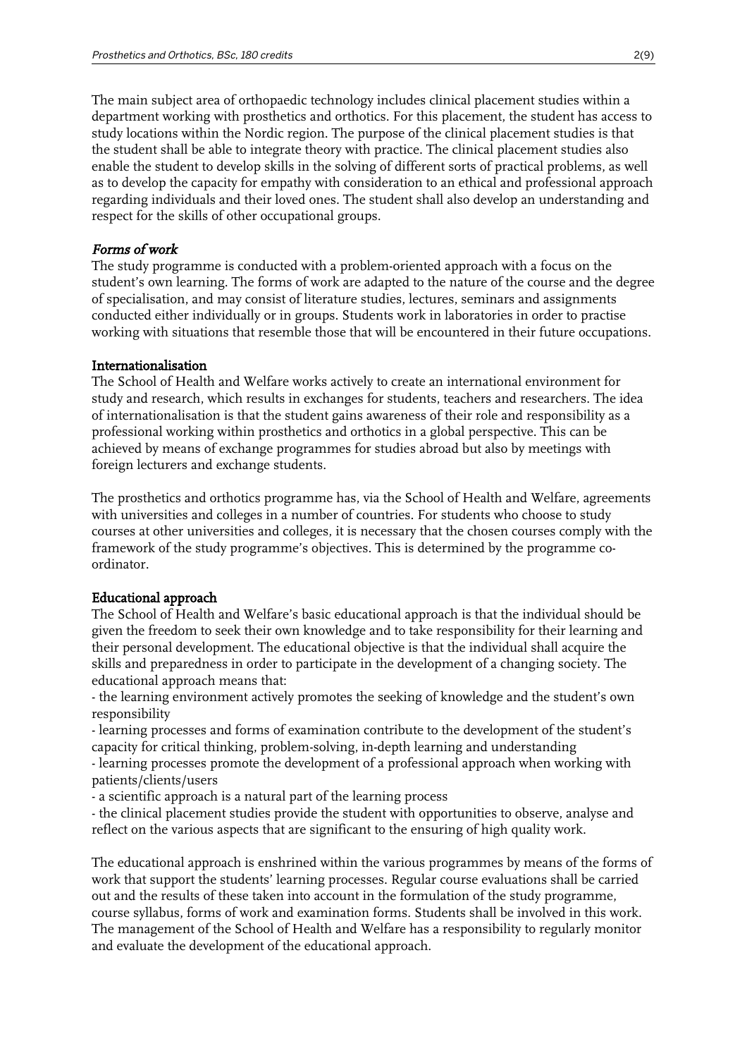The main subject area of orthopaedic technology includes clinical placement studies within a department working with prosthetics and orthotics. For this placement, the student has access to study locations within the Nordic region. The purpose of the clinical placement studies is that the student shall be able to integrate theory with practice. The clinical placement studies also enable the student to develop skills in the solving of different sorts of practical problems, as well as to develop the capacity for empathy with consideration to an ethical and professional approach regarding individuals and their loved ones. The student shall also develop an understanding and respect for the skills of other occupational groups.

#### Forms of work

The study programme is conducted with a problem-oriented approach with a focus on the student's own learning. The forms of work are adapted to the nature of the course and the degree of specialisation, and may consist of literature studies, lectures, seminars and assignments conducted either individually or in groups. Students work in laboratories in order to practise working with situations that resemble those that will be encountered in their future occupations.

#### Internationalisation

The School of Health and Welfare works actively to create an international environment for study and research, which results in exchanges for students, teachers and researchers. The idea of internationalisation is that the student gains awareness of their role and responsibility as a professional working within prosthetics and orthotics in a global perspective. This can be achieved by means of exchange programmes for studies abroad but also by meetings with foreign lecturers and exchange students.

The prosthetics and orthotics programme has, via the School of Health and Welfare, agreements with universities and colleges in a number of countries. For students who choose to study courses at other universities and colleges, it is necessary that the chosen courses comply with the framework of the study programme's objectives. This is determined by the programme coordinator.

#### Educational approach

The School of Health and Welfare's basic educational approach is that the individual should be given the freedom to seek their own knowledge and to take responsibility for their learning and their personal development. The educational objective is that the individual shall acquire the skills and preparedness in order to participate in the development of a changing society. The educational approach means that:

- the learning environment actively promotes the seeking of knowledge and the student's own responsibility

- learning processes and forms of examination contribute to the development of the student's capacity for critical thinking, problem-solving, in-depth learning and understanding

- learning processes promote the development of a professional approach when working with patients/clients/users

- a scientific approach is a natural part of the learning process

- the clinical placement studies provide the student with opportunities to observe, analyse and reflect on the various aspects that are significant to the ensuring of high quality work.

The educational approach is enshrined within the various programmes by means of the forms of work that support the students' learning processes. Regular course evaluations shall be carried out and the results of these taken into account in the formulation of the study programme, course syllabus, forms of work and examination forms. Students shall be involved in this work. The management of the School of Health and Welfare has a responsibility to regularly monitor and evaluate the development of the educational approach.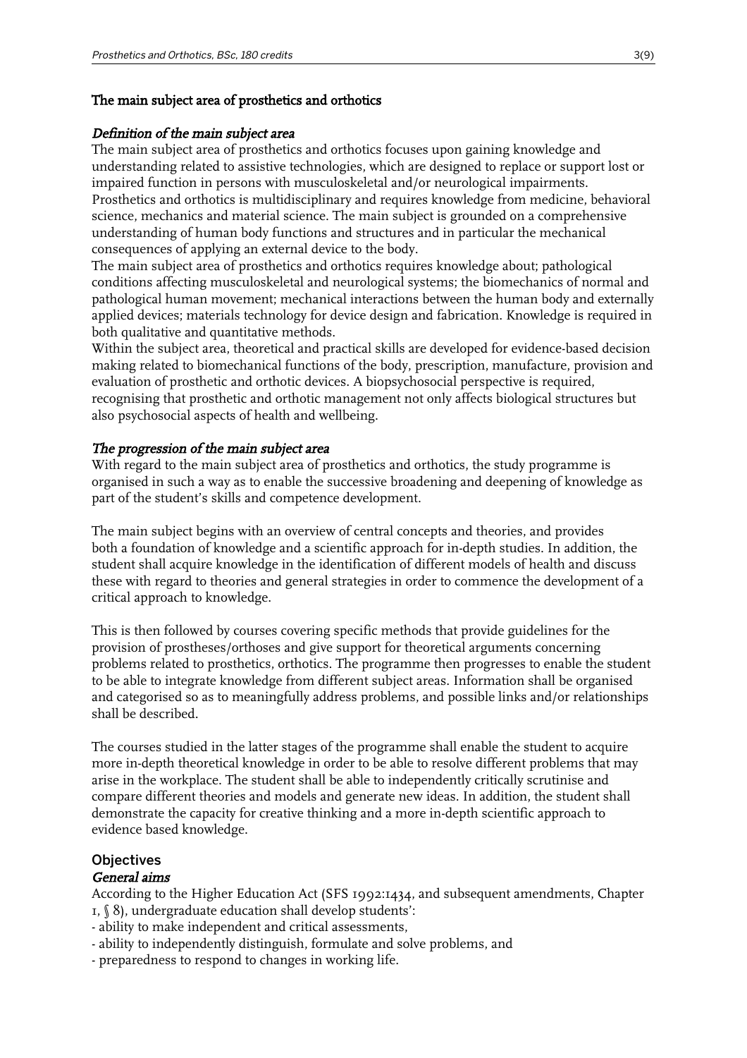## The main subject area of prosthetics and orthotics

#### Definition of the main subject area

The main subject area of prosthetics and orthotics focuses upon gaining knowledge and understanding related to assistive technologies, which are designed to replace or support lost or impaired function in persons with musculoskeletal and/or neurological impairments. Prosthetics and orthotics is multidisciplinary and requires knowledge from medicine, behavioral science, mechanics and material science. The main subject is grounded on a comprehensive understanding of human body functions and structures and in particular the mechanical consequences of applying an external device to the body.

The main subject area of prosthetics and orthotics requires knowledge about; pathological conditions affecting musculoskeletal and neurological systems; the biomechanics of normal and pathological human movement; mechanical interactions between the human body and externally applied devices; materials technology for device design and fabrication. Knowledge is required in both qualitative and quantitative methods.

Within the subject area, theoretical and practical skills are developed for evidence-based decision making related to biomechanical functions of the body, prescription, manufacture, provision and evaluation of prosthetic and orthotic devices. A biopsychosocial perspective is required, recognising that prosthetic and orthotic management not only affects biological structures but also psychosocial aspects of health and wellbeing.

## The progression of the main subject area

With regard to the main subject area of prosthetics and orthotics, the study programme is organised in such a way as to enable the successive broadening and deepening of knowledge as part of the student's skills and competence development.

The main subject begins with an overview of central concepts and theories, and provides both a foundation of knowledge and a scientific approach for in-depth studies. In addition, the student shall acquire knowledge in the identification of different models of health and discuss these with regard to theories and general strategies in order to commence the development of a critical approach to knowledge.

This is then followed by courses covering specific methods that provide guidelines for the provision of prostheses/orthoses and give support for theoretical arguments concerning problems related to prosthetics, orthotics. The programme then progresses to enable the student to be able to integrate knowledge from different subject areas. Information shall be organised and categorised so as to meaningfully address problems, and possible links and/or relationships shall be described.

The courses studied in the latter stages of the programme shall enable the student to acquire more in-depth theoretical knowledge in order to be able to resolve different problems that may arise in the workplace. The student shall be able to independently critically scrutinise and compare different theories and models and generate new ideas. In addition, the student shall demonstrate the capacity for creative thinking and a more in-depth scientific approach to evidence based knowledge.

## **Objectives**

## General aims

According to the Higher Education Act (SFS 1992:1434, and subsequent amendments, Chapter 1, § 8), undergraduate education shall develop students':

- ability to make independent and critical assessments,
- ability to independently distinguish, formulate and solve problems, and
- preparedness to respond to changes in working life.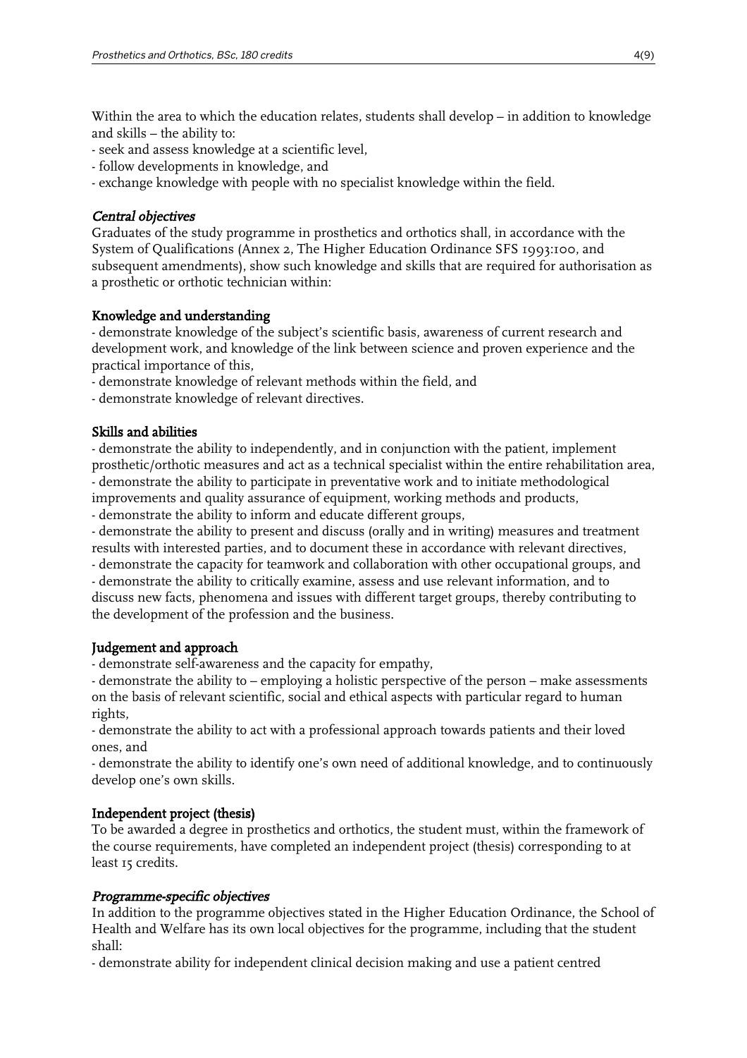Within the area to which the education relates, students shall develop – in addition to knowledge and skills – the ability to:

- seek and assess knowledge at a scientific level,
- follow developments in knowledge, and
- exchange knowledge with people with no specialist knowledge within the field.

## Central objectives

Graduates of the study programme in prosthetics and orthotics shall, in accordance with the System of Qualifications (Annex 2, The Higher Education Ordinance SFS 1993:100, and subsequent amendments), show such knowledge and skills that are required for authorisation as a prosthetic or orthotic technician within:

## Knowledge and understanding

- demonstrate knowledge of the subject's scientific basis, awareness of current research and development work, and knowledge of the link between science and proven experience and the practical importance of this,

- demonstrate knowledge of relevant methods within the field, and

- demonstrate knowledge of relevant directives.

## Skills and abilities

- demonstrate the ability to independently, and in conjunction with the patient, implement prosthetic/orthotic measures and act as a technical specialist within the entire rehabilitation area, - demonstrate the ability to participate in preventative work and to initiate methodological improvements and quality assurance of equipment, working methods and products,

- demonstrate the ability to inform and educate different groups,

- demonstrate the ability to present and discuss (orally and in writing) measures and treatment results with interested parties, and to document these in accordance with relevant directives,

- demonstrate the capacity for teamwork and collaboration with other occupational groups, and - demonstrate the ability to critically examine, assess and use relevant information, and to

discuss new facts, phenomena and issues with different target groups, thereby contributing to the development of the profession and the business.

## Judgement and approach

- demonstrate self-awareness and the capacity for empathy,

- demonstrate the ability to – employing a holistic perspective of the person – make assessments on the basis of relevant scientific, social and ethical aspects with particular regard to human rights,

- demonstrate the ability to act with a professional approach towards patients and their loved ones, and

- demonstrate the ability to identify one's own need of additional knowledge, and to continuously develop one's own skills.

## Independent project (thesis)

To be awarded a degree in prosthetics and orthotics, the student must, within the framework of the course requirements, have completed an independent project (thesis) corresponding to at least 15 credits.

## Programme-specific objectives

In addition to the programme objectives stated in the Higher Education Ordinance, the School of Health and Welfare has its own local objectives for the programme, including that the student shall:

- demonstrate ability for independent clinical decision making and use a patient centred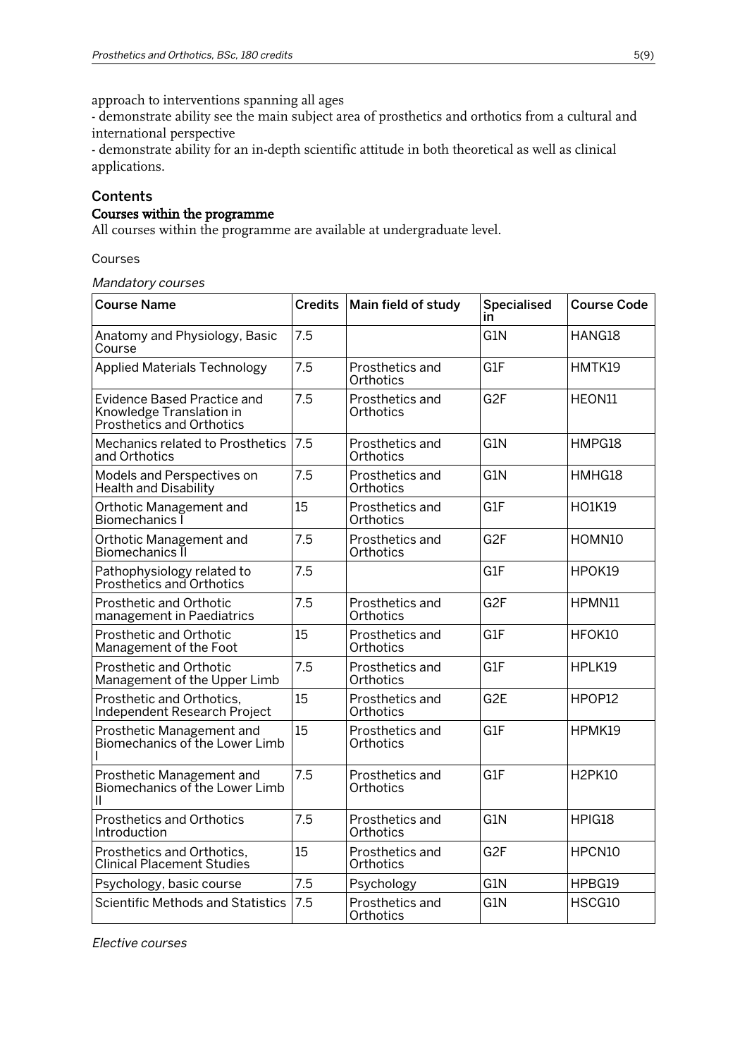approach to interventions spanning all ages

- demonstrate ability see the main subject area of prosthetics and orthotics from a cultural and international perspective

- demonstrate ability for an in-depth scientific attitude in both theoretical as well as clinical applications.

#### **Contents**

## Courses within the programme

All courses within the programme are available at undergraduate level.

#### Courses

#### Mandatory courses

| <b>Course Name</b>                                                                          | <b>Credits</b> | Main field of study          | <b>Specialised</b><br>in | <b>Course Code</b> |
|---------------------------------------------------------------------------------------------|----------------|------------------------------|--------------------------|--------------------|
| Anatomy and Physiology, Basic<br>Course                                                     | 7.5            |                              | G <sub>1</sub> N         | HANG18             |
| <b>Applied Materials Technology</b>                                                         | 7.5            | Prosthetics and<br>Orthotics | G1F                      | HMTK19             |
| <b>Evidence Based Practice and</b><br>Knowledge Translation in<br>Prosthetics and Orthotics | 7.5            | Prosthetics and<br>Orthotics | G <sub>2F</sub>          | HEON11             |
| Mechanics related to Prosthetics<br>and Orthotics                                           | 7.5            | Prosthetics and<br>Orthotics | G <sub>1</sub> N         | HMPG18             |
| Models and Perspectives on<br><b>Health and Disability</b>                                  | 7.5            | Prosthetics and<br>Orthotics | G <sub>1</sub> N         | HMHG18             |
| Orthotic Management and<br>Biomechanics I                                                   | 15             | Prosthetics and<br>Orthotics | G1F                      | <b>HO1K19</b>      |
| Orthotic Management and<br>Biomechanics II                                                  | 7.5            | Prosthetics and<br>Orthotics | G <sub>2F</sub>          | HOMN10             |
| Pathophysiology related to<br>Prosthetics and Orthotics                                     | 7.5            |                              | G1F                      | HPOK19             |
| <b>Prosthetic and Orthotic</b><br>management in Paediatrics                                 | 7.5            | Prosthetics and<br>Orthotics | G <sub>2F</sub>          | HPMN11             |
| Prosthetic and Orthotic<br>Management of the Foot                                           | 15             | Prosthetics and<br>Orthotics | G1F                      | HFOK10             |
| Prosthetic and Orthotic<br>Management of the Upper Limb                                     | 7.5            | Prosthetics and<br>Orthotics | G1F                      | HPLK19             |
| Prosthetic and Orthotics,<br>Independent Research Project                                   | 15             | Prosthetics and<br>Orthotics | G <sub>2</sub> E         | HPOP12             |
| Prosthetic Management and<br>Biomechanics of the Lower Limb                                 | 15             | Prosthetics and<br>Orthotics | G1F                      | HPMK19             |
| Prosthetic Management and<br>Biomechanics of the Lower Limb<br>Ш                            | 7.5            | Prosthetics and<br>Orthotics | G1F                      | <b>H2PK10</b>      |
| <b>Prosthetics and Orthotics</b><br>Introduction                                            | 7.5            | Prosthetics and<br>Orthotics | G1N                      | HPIG18             |
| Prosthetics and Orthotics,<br><b>Clinical Placement Studies</b>                             | 15             | Prosthetics and<br>Orthotics | G <sub>2F</sub>          | HPCN10             |
| Psychology, basic course                                                                    | 7.5            | Psychology                   | G1N                      | HPBG19             |
| Scientific Methods and Statistics                                                           | 7.5            | Prosthetics and<br>Orthotics | G1N                      | HSCG10             |

Elective courses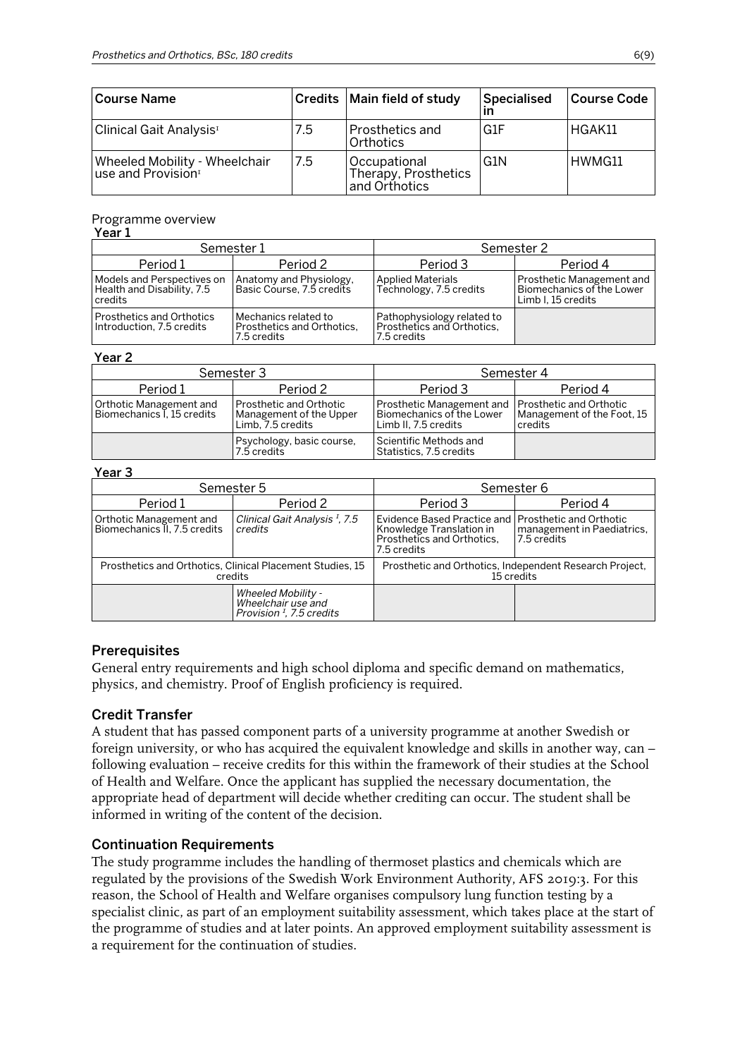| Course Name                                                |     | Credits   Main field of study                         | Specialised      | <b>Course Code</b> |
|------------------------------------------------------------|-----|-------------------------------------------------------|------------------|--------------------|
| Clinical Gait Analysis <sup>1</sup>                        | 7.5 | <b>Prosthetics and</b><br>Orthotics                   | G <sub>1</sub> F | HGAK11             |
| Wheeled Mobility - Wheelchair<br>$ $ use and Provision $1$ | 7.5 | Occupational<br>Therapy, Prosthetics<br>and Orthotics | G1N              | HWMG11             |

## Programme overview

#### Year 1

| Semester 1                                                              |                                                                   | Semester 2                                                              |                                                                              |  |
|-------------------------------------------------------------------------|-------------------------------------------------------------------|-------------------------------------------------------------------------|------------------------------------------------------------------------------|--|
| Period 1                                                                | Period 2                                                          | Period 3                                                                | Period 4                                                                     |  |
| l Models and Perspectives on<br>Health and Disability, 7.5<br>l credits | Anatomy and Physiology,<br>Basic Course, 7.5 credits              | <b>Applied Materials</b><br>Technology, 7.5 credits                     | Prosthetic Management and<br>Biomechanics of the Lower<br>Limb I. 15 credits |  |
| Prosthetics and Orthotics<br>I Introduction. 7.5 credits                | Mechanics related to<br>Prosthetics and Orthotics.<br>7.5 credits | Pathophysiology related to<br>Prosthetics and Orthotics.<br>7.5 credits |                                                                              |  |

#### Year 2

| Semester 3                                            |                                                                                | Semester 4                                                                                               |                                       |  |
|-------------------------------------------------------|--------------------------------------------------------------------------------|----------------------------------------------------------------------------------------------------------|---------------------------------------|--|
| Period 1                                              | Period 2                                                                       | Period 3                                                                                                 | Period 4                              |  |
| Orthotic Management and<br>Biomechanics I, 15 credits | <b>Prosthetic and Orthotic</b><br>Management of the Upper<br>Limb, 7.5 credits | Prosthetic Management and   Prosthetic and Orthotic<br>Biomechanics of the Lower<br>Limb II. 7.5 credits | Management of the Foot, 15<br>credits |  |
|                                                       | Psychology, basic course,<br>7.5 credits                                       | Scientific Methods and<br>Statistics, 7.5 credits                                                        |                                       |  |

#### Year 3

| Semester 5                                                           |                                                                                         | Semester 6                                                                                                                          |                                           |  |
|----------------------------------------------------------------------|-----------------------------------------------------------------------------------------|-------------------------------------------------------------------------------------------------------------------------------------|-------------------------------------------|--|
| Period 1                                                             | Period 2                                                                                | Period 3                                                                                                                            | Period 4                                  |  |
| Orthotic Management and<br>Biomechanics II, 7.5 credits              | Clinical Gait Analysis <sup>1</sup> , 7.5<br>credits                                    | Evidence Based Practice and <i>Prosthetic</i> and Orthotic<br>Knowledge Translation in<br>Prosthetics and Orthotics.<br>7.5 credits | management in Paediatrics,<br>7.5 credits |  |
| Prosthetics and Orthotics, Clinical Placement Studies, 15<br>credits |                                                                                         | Prosthetic and Orthotics, Independent Research Project,<br>15 credits                                                               |                                           |  |
|                                                                      | <b>Wheeled Mobility -</b><br>Wheelchair use and<br>Provision <sup>1</sup> , 7.5 credits |                                                                                                                                     |                                           |  |

#### **Prerequisites**

General entry requirements and high school diploma and specific demand on mathematics, physics, and chemistry. Proof of English proficiency is required.

#### Credit Transfer

A student that has passed component parts of a university programme at another Swedish or foreign university, or who has acquired the equivalent knowledge and skills in another way, can – following evaluation – receive credits for this within the framework of their studies at the School of Health and Welfare. Once the applicant has supplied the necessary documentation, the appropriate head of department will decide whether crediting can occur. The student shall be informed in writing of the content of the decision.

#### Continuation Requirements

The study programme includes the handling of thermoset plastics and chemicals which are regulated by the provisions of the Swedish Work Environment Authority, AFS 2019:3. For this reason, the School of Health and Welfare organises compulsory lung function testing by a specialist clinic, as part of an employment suitability assessment, which takes place at the start of the programme of studies and at later points. An approved employment suitability assessment is a requirement for the continuation of studies.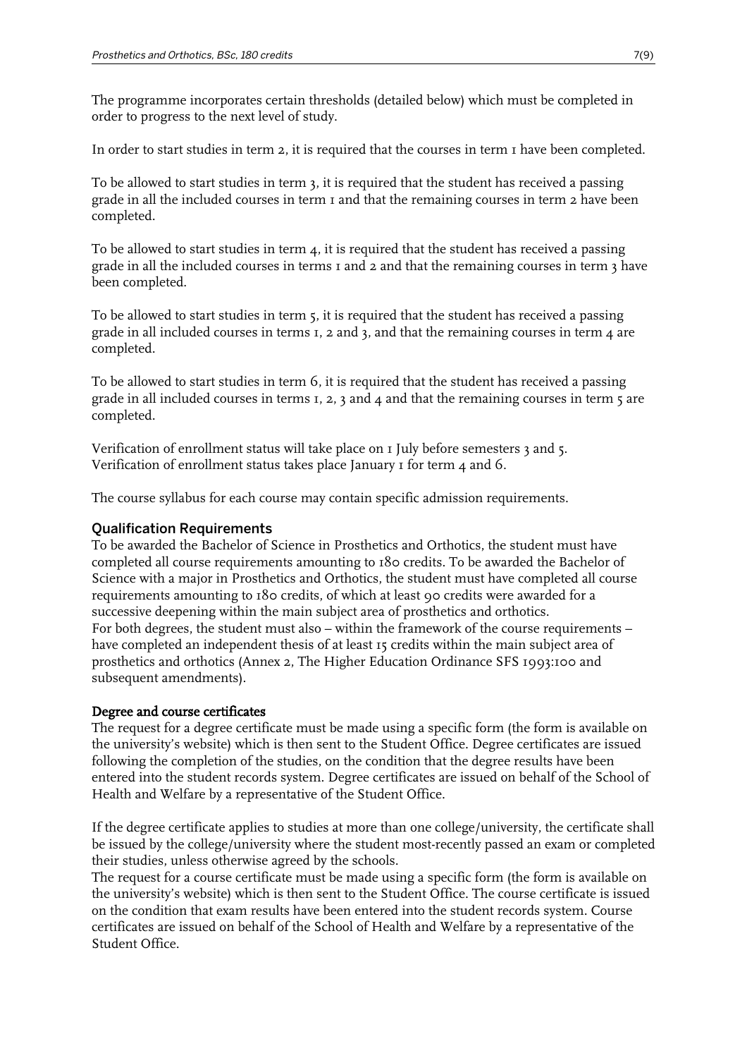The programme incorporates certain thresholds (detailed below) which must be completed in order to progress to the next level of study.

In order to start studies in term 2, it is required that the courses in term 1 have been completed.

To be allowed to start studies in term 3, it is required that the student has received a passing grade in all the included courses in term 1 and that the remaining courses in term 2 have been completed.

To be allowed to start studies in term  $\mu$ , it is required that the student has received a passing grade in all the included courses in terms 1 and 2 and that the remaining courses in term 3 have been completed.

To be allowed to start studies in term 5, it is required that the student has received a passing grade in all included courses in terms  $I$ , 2 and  $I$ , and that the remaining courses in term  $\mu$  are completed.

To be allowed to start studies in term 6, it is required that the student has received a passing grade in all included courses in terms  $I$ ,  $2$ ,  $3$  and  $4$  and that the remaining courses in term  $5$  are completed.

Verification of enrollment status will take place on 1 July before semesters 3 and 5. Verification of enrollment status takes place January 1 for term 4 and 6.

The course syllabus for each course may contain specific admission requirements.

#### Qualification Requirements

To be awarded the Bachelor of Science in Prosthetics and Orthotics, the student must have completed all course requirements amounting to 180 credits. To be awarded the Bachelor of Science with a major in Prosthetics and Orthotics, the student must have completed all course requirements amounting to 180 credits, of which at least 90 credits were awarded for a successive deepening within the main subject area of prosthetics and orthotics. For both degrees, the student must also – within the framework of the course requirements – have completed an independent thesis of at least 15 credits within the main subject area of prosthetics and orthotics (Annex 2, The Higher Education Ordinance SFS 1993:100 and subsequent amendments).

#### Degree and course certificates

The request for a degree certificate must be made using a specific form (the form is available on the university's website) which is then sent to the Student Office. Degree certificates are issued following the completion of the studies, on the condition that the degree results have been entered into the student records system. Degree certificates are issued on behalf of the School of Health and Welfare by a representative of the Student Office.

If the degree certificate applies to studies at more than one college/university, the certificate shall be issued by the college/university where the student most-recently passed an exam or completed their studies, unless otherwise agreed by the schools.

The request for a course certificate must be made using a specific form (the form is available on the university's website) which is then sent to the Student Office. The course certificate is issued on the condition that exam results have been entered into the student records system. Course certificates are issued on behalf of the School of Health and Welfare by a representative of the Student Office.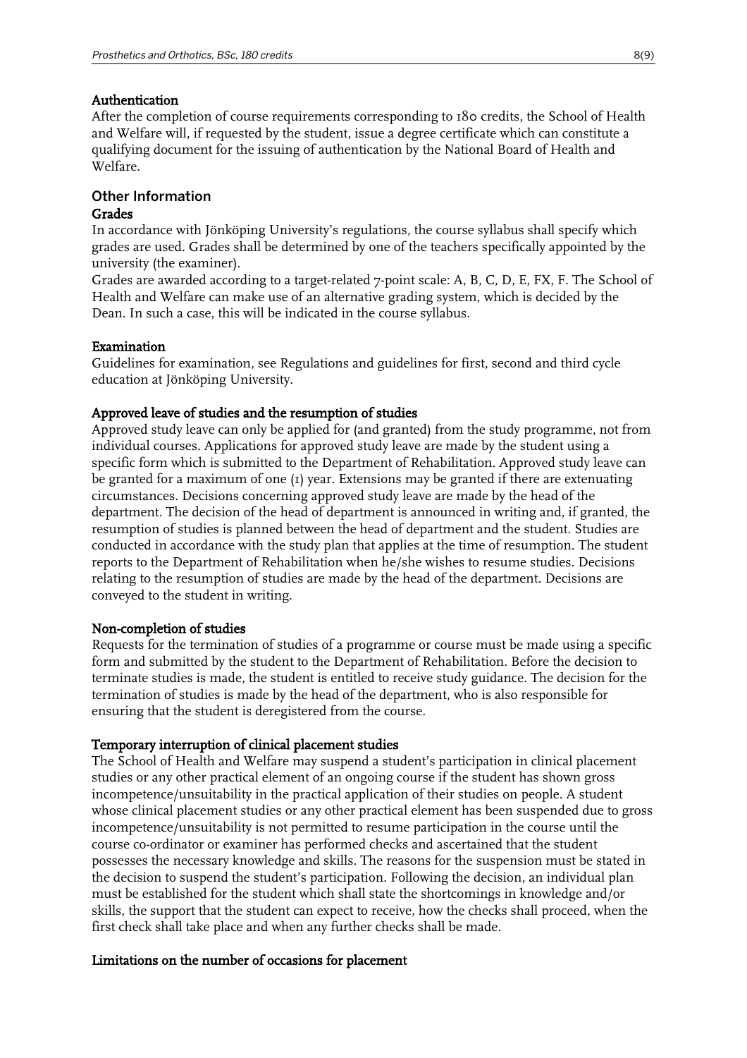#### Authentication

After the completion of course requirements corresponding to 180 credits, the School of Health and Welfare will, if requested by the student, issue a degree certificate which can constitute a qualifying document for the issuing of authentication by the National Board of Health and Welfare.

## Other Information

### Grades

In accordance with Jönköping University's regulations, the course syllabus shall specify which grades are used. Grades shall be determined by one of the teachers specifically appointed by the university (the examiner).

Grades are awarded according to a target-related 7-point scale: A, B, C, D, E, FX, F. The School of Health and Welfare can make use of an alternative grading system, which is decided by the Dean. In such a case, this will be indicated in the course syllabus.

#### Examination

Guidelines for examination, see Regulations and guidelines for first, second and third cycle education at Jönköping University.

## Approved leave of studies and the resumption of studies

Approved study leave can only be applied for (and granted) from the study programme, not from individual courses. Applications for approved study leave are made by the student using a specific form which is submitted to the Department of Rehabilitation. Approved study leave can be granted for a maximum of one (1) year. Extensions may be granted if there are extenuating circumstances. Decisions concerning approved study leave are made by the head of the department. The decision of the head of department is announced in writing and, if granted, the resumption of studies is planned between the head of department and the student. Studies are conducted in accordance with the study plan that applies at the time of resumption. The student reports to the Department of Rehabilitation when he/she wishes to resume studies. Decisions relating to the resumption of studies are made by the head of the department. Decisions are conveyed to the student in writing.

#### Non-completion of studies

Requests for the termination of studies of a programme or course must be made using a specific form and submitted by the student to the Department of Rehabilitation. Before the decision to terminate studies is made, the student is entitled to receive study guidance. The decision for the termination of studies is made by the head of the department, who is also responsible for ensuring that the student is deregistered from the course.

#### Temporary interruption of clinical placement studies

The School of Health and Welfare may suspend a student's participation in clinical placement studies or any other practical element of an ongoing course if the student has shown gross incompetence/unsuitability in the practical application of their studies on people. A student whose clinical placement studies or any other practical element has been suspended due to gross incompetence/unsuitability is not permitted to resume participation in the course until the course co-ordinator or examiner has performed checks and ascertained that the student possesses the necessary knowledge and skills. The reasons for the suspension must be stated in the decision to suspend the student's participation. Following the decision, an individual plan must be established for the student which shall state the shortcomings in knowledge and/or skills, the support that the student can expect to receive, how the checks shall proceed, when the first check shall take place and when any further checks shall be made.

#### Limitations on the number of occasions for placement